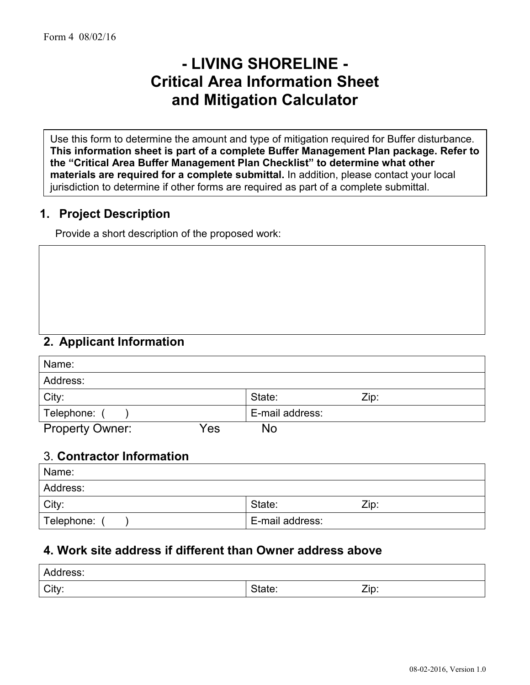# **- LIVING SHORELINE - Critical Area Information Sheet and Mitigation Calculator**

Use this form to determine the amount and type of mitigation required for Buffer disturbance. **This information sheet is part of a complete Buffer Management Plan package. Refer to the "Critical Area Buffer Management Plan Checklist" to determine what other materials are required for a complete submittal.** In addition, please contact your local jurisdiction to determine if other forms are required as part of a complete submittal.

# **1. Project Description**

Provide a short description of the proposed work:

### **2. Applicant Information**

| Name:                  |     |                 |      |
|------------------------|-----|-----------------|------|
| Address:               |     |                 |      |
| City:                  |     | State:          | Zip: |
| Telephone:             |     | E-mail address: |      |
| <b>Property Owner:</b> | Yes | No              |      |

# 3. **Contractor Information**

| Name:      |                 |      |
|------------|-----------------|------|
| Address:   |                 |      |
| City:      | State:          | Zip: |
| Telephone: | E-mail address: |      |

# **4. Work site address if different than Owner address above**

| Address: |        |      |
|----------|--------|------|
| City:    | State: | Zip: |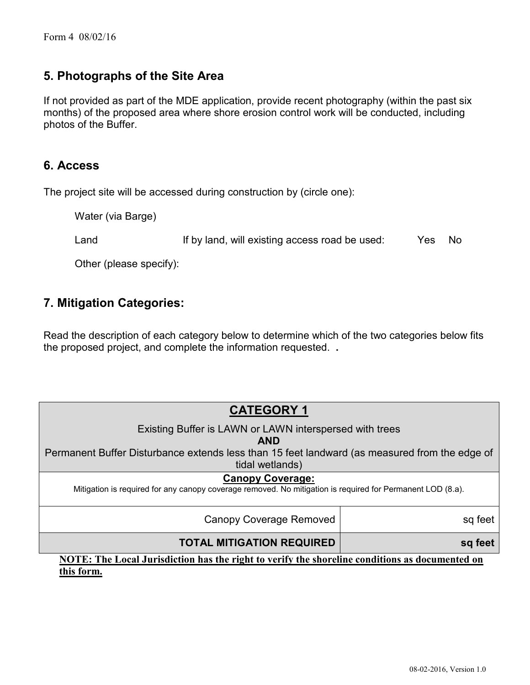# **5. Photographs of the Site Area**

If not provided as part of the MDE application, provide recent photography (within the past six months) of the proposed area where shore erosion control work will be conducted, including photos of the Buffer.

### **6. Access**

The project site will be accessed during construction by (circle one):

Water (via Barge)

Land If by land, will existing access road be used: Yes No

Other (please specify):

### **7. Mitigation Categories:**

Read the description of each category below to determine which of the two categories below fits the proposed project, and complete the information requested. **.**

# **CATEGORY 1**

Existing Buffer is LAWN or LAWN interspersed with trees

**AND**

Permanent Buffer Disturbance extends less than 15 feet landward (as measured from the edge of tidal wetlands)

#### **Canopy Coverage:**

Mitigation is required for any canopy coverage removed. No mitigation is required for Permanent LOD (8.a).

Canopy Coverage Removed | sq feet

### **TOTAL MITIGATION REQUIRED**

**NOTE: The Local Jurisdiction has the right to verify the shoreline conditions as documented on this form.**